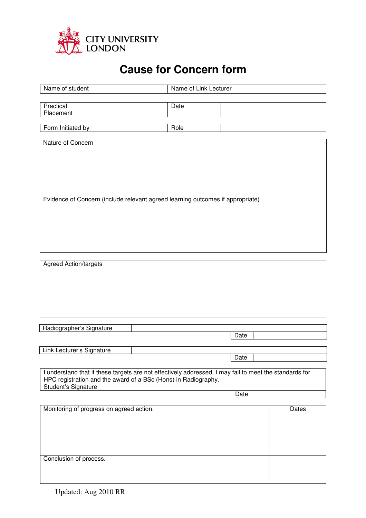

## **Cause for Concern form**

| Name of student                                                                                                                                                          | Name of Link Lecturer |       |  |
|--------------------------------------------------------------------------------------------------------------------------------------------------------------------------|-----------------------|-------|--|
|                                                                                                                                                                          |                       |       |  |
| Practical<br>Placement                                                                                                                                                   | Date                  |       |  |
| Form Initiated by                                                                                                                                                        | Role                  |       |  |
| Nature of Concern                                                                                                                                                        |                       |       |  |
|                                                                                                                                                                          |                       |       |  |
|                                                                                                                                                                          |                       |       |  |
|                                                                                                                                                                          |                       |       |  |
|                                                                                                                                                                          |                       |       |  |
| Evidence of Concern (include relevant agreed learning outcomes if appropriate)                                                                                           |                       |       |  |
|                                                                                                                                                                          |                       |       |  |
|                                                                                                                                                                          |                       |       |  |
|                                                                                                                                                                          |                       |       |  |
|                                                                                                                                                                          |                       |       |  |
| <b>Agreed Action/targets</b>                                                                                                                                             |                       |       |  |
|                                                                                                                                                                          |                       |       |  |
|                                                                                                                                                                          |                       |       |  |
|                                                                                                                                                                          |                       |       |  |
|                                                                                                                                                                          |                       |       |  |
| Radiographer's Signature                                                                                                                                                 |                       |       |  |
|                                                                                                                                                                          | Date                  |       |  |
| Link Lecturer's Signature                                                                                                                                                |                       |       |  |
|                                                                                                                                                                          | Date                  |       |  |
| I understand that if these targets are not effectively addressed, I may fail to meet the standards for<br>HPC registration and the award of a BSc (Hons) in Radiography. |                       |       |  |
| Student's Signature                                                                                                                                                      | Date                  |       |  |
|                                                                                                                                                                          |                       |       |  |
| Monitoring of progress on agreed action.                                                                                                                                 |                       | Dates |  |
|                                                                                                                                                                          |                       |       |  |
|                                                                                                                                                                          |                       |       |  |
|                                                                                                                                                                          |                       |       |  |
| Conclusion of process.                                                                                                                                                   |                       |       |  |
|                                                                                                                                                                          |                       |       |  |
|                                                                                                                                                                          |                       |       |  |